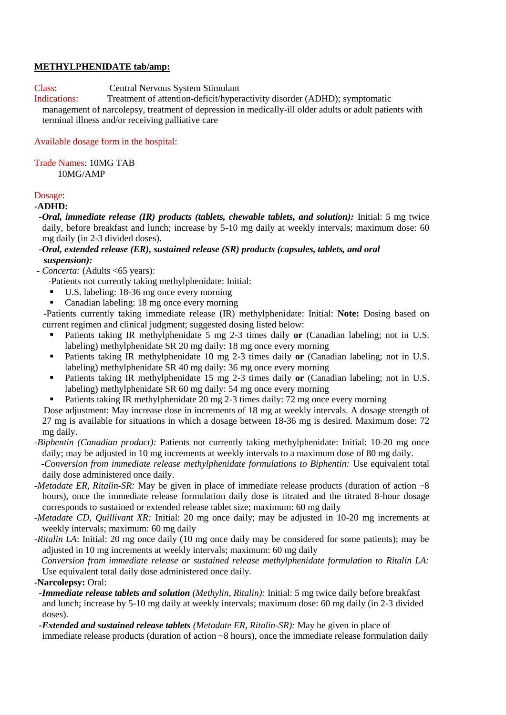## **METHYLPHENIDATE tab/amp:**

Class: Central Nervous System Stimulant

Indications: Treatment of attention-deficit/hyperactivity disorder (ADHD); symptomatic management of narcolepsy, treatment of depression in medically-ill older adults or adult patients with terminal illness and/or receiving palliative care

# Available dosage form in the hospital:

Trade Names: 10MG TAB 10MG/AMP

# Dosage:

## **-ADHD:**

- *<i>-Oral, immediate release (IR) products (tablets, chewable tablets, and solution): Initial: 5 mg twice* daily, before breakfast and lunch; increase by 5-10 mg daily at weekly intervals; maximum dose: 60 mg daily (in 2-3 divided doses).
- *-Oral, extended release (ER), sustained release (SR) products (capsules, tablets, and oral suspension):*
- *- Concerta:* (Adults <65 years):
	- -Patients not currently taking methylphenidate: Initial:
	- U.S. labeling: 18-36 mg once every morning
	- Canadian labeling: 18 mg once every morning

 -Patients currently taking immediate release (IR) methylphenidate: Initial: **Note:** Dosing based on current regimen and clinical judgment; suggested dosing listed below:

- Patients taking IR methylphenidate 5 mg 2-3 times daily **or** (Canadian labeling; not in U.S. labeling) methylphenidate SR 20 mg daily: 18 mg once every morning
- **Patients taking IR methylphenidate 10 mg 2-3 times daily or (Canadian labeling; not in U.S.** labeling) methylphenidate SR 40 mg daily: 36 mg once every morning
- Patients taking IR methylphenidate 15 mg 2-3 times daily **or** (Canadian labeling; not in U.S. labeling) methylphenidate SR 60 mg daily: 54 mg once every morning
- Patients taking IR methylphenidate 20 mg 2-3 times daily: 72 mg once every morning

 Dose adjustment: May increase dose in increments of 18 mg at weekly intervals. A dosage strength of 27 mg is available for situations in which a dosage between 18-36 mg is desired. Maximum dose: 72 mg daily.

*-Biphentin (Canadian product):* Patients not currently taking methylphenidate: Initial: 10-20 mg once daily; may be adjusted in 10 mg increments at weekly intervals to a maximum dose of 80 mg daily.

 *-Conversion from immediate release methylphenidate formulations to Biphentin:* Use equivalent total daily dose administered once daily.

- *-Metadate ER, Ritalin-SR:* May be given in place of immediate release products (duration of action  $\sim 8$ ) hours), once the immediate release formulation daily dose is titrated and the titrated 8-hour dosage corresponds to sustained or extended release tablet size; maximum: 60 mg daily
- *-Metadate CD, Quillivant XR:* Initial: 20 mg once daily; may be adjusted in 10-20 mg increments at weekly intervals; maximum: 60 mg daily
- *-Ritalin LA*: Initial: 20 mg once daily (10 mg once daily may be considered for some patients); may be adjusted in 10 mg increments at weekly intervals; maximum: 60 mg daily

 *Conversion from immediate release or sustained release methylphenidate formulation to Ritalin LA:* Use equivalent total daily dose administered once daily.

**-Narcolepsy:** Oral:

- *-Immediate release tablets and solution (Methylin, Ritalin):* Initial: 5 mg twice daily before breakfast and lunch; increase by 5-10 mg daily at weekly intervals; maximum dose: 60 mg daily (in 2-3 divided doses).
- *-Extended and sustained release tablets (Metadate ER, Ritalin-SR):* May be given in place of immediate release products (duration of action ~8 hours), once the immediate release formulation daily